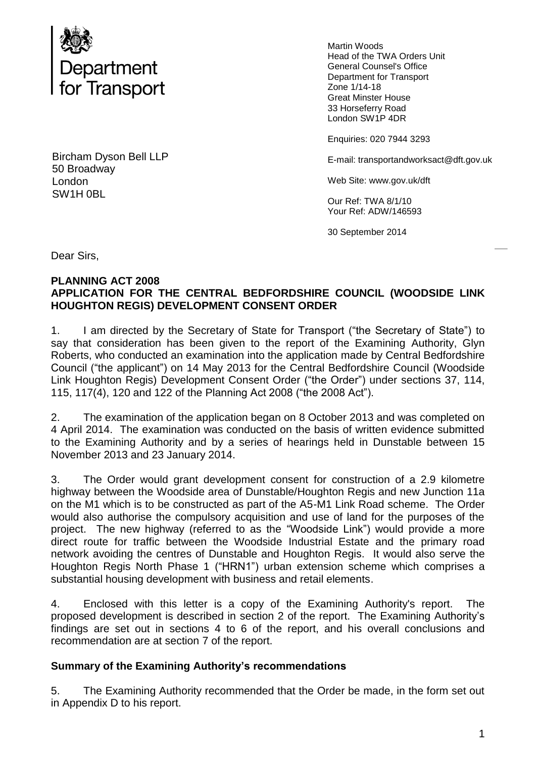

Bircham Dyson Bell LLP 50 Broadway London SW1H 0BL

Martin Woods Head of the TWA Orders Unit General Counsel's Office Department for Transport Zone 1/14-18 Great Minster House 33 Horseferry Road London SW1P 4DR

Enquiries: 020 7944 3293

E-mail: transportandworksact@dft.gov.uk

Web Site: www.gov.uk/dft

Our Ref: TWA 8/1/10 Your Ref: ADW/146593

30 September 2014

Dear Sirs,

#### **PLANNING ACT 2008 APPLICATION FOR THE CENTRAL BEDFORDSHIRE COUNCIL (WOODSIDE LINK HOUGHTON REGIS) DEVELOPMENT CONSENT ORDER**

1. I am directed by the Secretary of State for Transport ("the Secretary of State") to say that consideration has been given to the report of the Examining Authority, Glyn Roberts, who conducted an examination into the application made by Central Bedfordshire Council ("the applicant") on 14 May 2013 for the Central Bedfordshire Council (Woodside Link Houghton Regis) Development Consent Order ("the Order") under sections 37, 114, 115, 117(4), 120 and 122 of the Planning Act 2008 ("the 2008 Act").

2. The examination of the application began on 8 October 2013 and was completed on 4 April 2014. The examination was conducted on the basis of written evidence submitted to the Examining Authority and by a series of hearings held in Dunstable between 15 November 2013 and 23 January 2014.

3. The Order would grant development consent for construction of a 2.9 kilometre highway between the Woodside area of Dunstable/Houghton Regis and new Junction 11a on the M1 which is to be constructed as part of the A5-M1 Link Road scheme. The Order would also authorise the compulsory acquisition and use of land for the purposes of the project. The new highway (referred to as the "Woodside Link") would provide a more direct route for traffic between the Woodside Industrial Estate and the primary road network avoiding the centres of Dunstable and Houghton Regis. It would also serve the Houghton Regis North Phase 1 ("HRN1") urban extension scheme which comprises a substantial housing development with business and retail elements.

4. Enclosed with this letter is a copy of the Examining Authority's report. The proposed development is described in section 2 of the report. The Examining Authority's findings are set out in sections 4 to 6 of the report, and his overall conclusions and recommendation are at section 7 of the report.

## **Summary of the Examining Authority's recommendations**

5. The Examining Authority recommended that the Order be made, in the form set out in Appendix D to his report.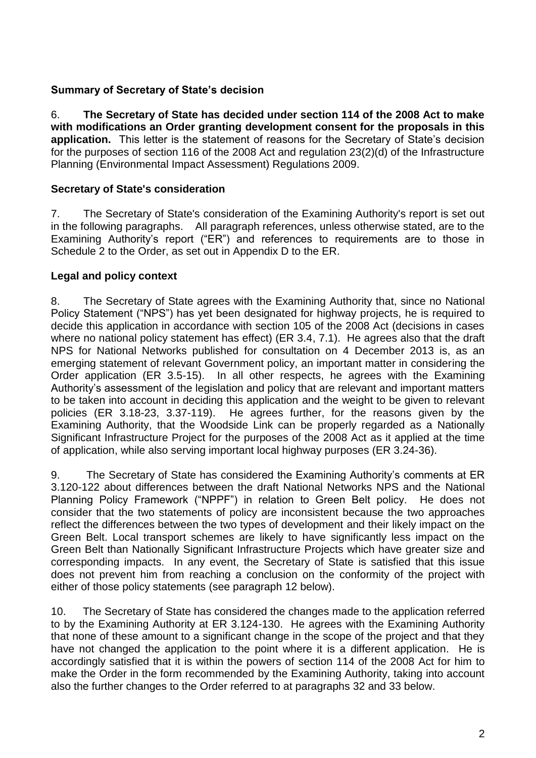# **Summary of Secretary of State's decision**

6. **The Secretary of State has decided under section 114 of the 2008 Act to make with modifications an Order granting development consent for the proposals in this application.** This letter is the statement of reasons for the Secretary of State's decision for the purposes of section 116 of the 2008 Act and regulation 23(2)(d) of the Infrastructure Planning (Environmental Impact Assessment) Regulations 2009.

#### **Secretary of State's consideration**

7. The Secretary of State's consideration of the Examining Authority's report is set out in the following paragraphs. All paragraph references, unless otherwise stated, are to the Examining Authority's report ("ER") and references to requirements are to those in Schedule 2 to the Order, as set out in Appendix D to the ER.

## **Legal and policy context**

8. The Secretary of State agrees with the Examining Authority that, since no National Policy Statement ("NPS") has yet been designated for highway projects, he is required to decide this application in accordance with section 105 of the 2008 Act (decisions in cases where no national policy statement has effect) (ER 3.4, 7.1). He agrees also that the draft NPS for National Networks published for consultation on 4 December 2013 is, as an emerging statement of relevant Government policy, an important matter in considering the Order application (ER 3.5-15). In all other respects, he agrees with the Examining Authority's assessment of the legislation and policy that are relevant and important matters to be taken into account in deciding this application and the weight to be given to relevant policies (ER 3.18-23, 3.37-119). He agrees further, for the reasons given by the Examining Authority, that the Woodside Link can be properly regarded as a Nationally Significant Infrastructure Project for the purposes of the 2008 Act as it applied at the time of application, while also serving important local highway purposes (ER 3.24-36).

9. The Secretary of State has considered the Examining Authority's comments at ER 3.120-122 about differences between the draft National Networks NPS and the National Planning Policy Framework ("NPPF") in relation to Green Belt policy. He does not consider that the two statements of policy are inconsistent because the two approaches reflect the differences between the two types of development and their likely impact on the Green Belt. Local transport schemes are likely to have significantly less impact on the Green Belt than Nationally Significant Infrastructure Projects which have greater size and corresponding impacts. In any event, the Secretary of State is satisfied that this issue does not prevent him from reaching a conclusion on the conformity of the project with either of those policy statements (see paragraph 12 below).

10. The Secretary of State has considered the changes made to the application referred to by the Examining Authority at ER 3.124-130. He agrees with the Examining Authority that none of these amount to a significant change in the scope of the project and that they have not changed the application to the point where it is a different application. He is accordingly satisfied that it is within the powers of section 114 of the 2008 Act for him to make the Order in the form recommended by the Examining Authority, taking into account also the further changes to the Order referred to at paragraphs 32 and 33 below.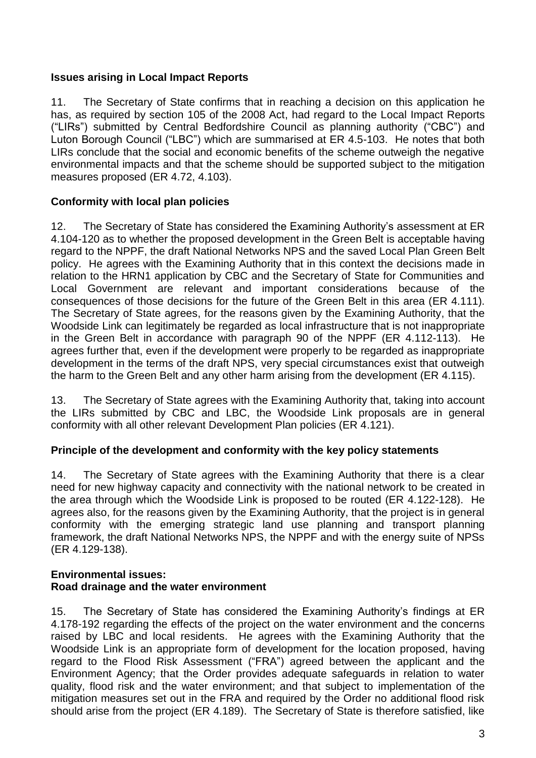## **Issues arising in Local Impact Reports**

11. The Secretary of State confirms that in reaching a decision on this application he has, as required by section 105 of the 2008 Act, had regard to the Local Impact Reports ("LIRs") submitted by Central Bedfordshire Council as planning authority ("CBC") and Luton Borough Council ("LBC") which are summarised at ER 4.5-103. He notes that both LIRs conclude that the social and economic benefits of the scheme outweigh the negative environmental impacts and that the scheme should be supported subject to the mitigation measures proposed (ER 4.72, 4.103).

# **Conformity with local plan policies**

12. The Secretary of State has considered the Examining Authority's assessment at ER 4.104-120 as to whether the proposed development in the Green Belt is acceptable having regard to the NPPF, the draft National Networks NPS and the saved Local Plan Green Belt policy. He agrees with the Examining Authority that in this context the decisions made in relation to the HRN1 application by CBC and the Secretary of State for Communities and Local Government are relevant and important considerations because of the consequences of those decisions for the future of the Green Belt in this area (ER 4.111). The Secretary of State agrees, for the reasons given by the Examining Authority, that the Woodside Link can legitimately be regarded as local infrastructure that is not inappropriate in the Green Belt in accordance with paragraph 90 of the NPPF (ER 4.112-113). He agrees further that, even if the development were properly to be regarded as inappropriate development in the terms of the draft NPS, very special circumstances exist that outweigh the harm to the Green Belt and any other harm arising from the development (ER 4.115).

13. The Secretary of State agrees with the Examining Authority that, taking into account the LIRs submitted by CBC and LBC, the Woodside Link proposals are in general conformity with all other relevant Development Plan policies (ER 4.121).

## **Principle of the development and conformity with the key policy statements**

14. The Secretary of State agrees with the Examining Authority that there is a clear need for new highway capacity and connectivity with the national network to be created in the area through which the Woodside Link is proposed to be routed (ER 4.122-128). He agrees also, for the reasons given by the Examining Authority, that the project is in general conformity with the emerging strategic land use planning and transport planning framework, the draft National Networks NPS, the NPPF and with the energy suite of NPSs (ER 4.129-138).

#### **Environmental issues: Road drainage and the water environment**

15. The Secretary of State has considered the Examining Authority's findings at ER 4.178-192 regarding the effects of the project on the water environment and the concerns raised by LBC and local residents. He agrees with the Examining Authority that the Woodside Link is an appropriate form of development for the location proposed, having regard to the Flood Risk Assessment ("FRA") agreed between the applicant and the Environment Agency; that the Order provides adequate safeguards in relation to water quality, flood risk and the water environment; and that subject to implementation of the mitigation measures set out in the FRA and required by the Order no additional flood risk should arise from the project (ER 4.189). The Secretary of State is therefore satisfied, like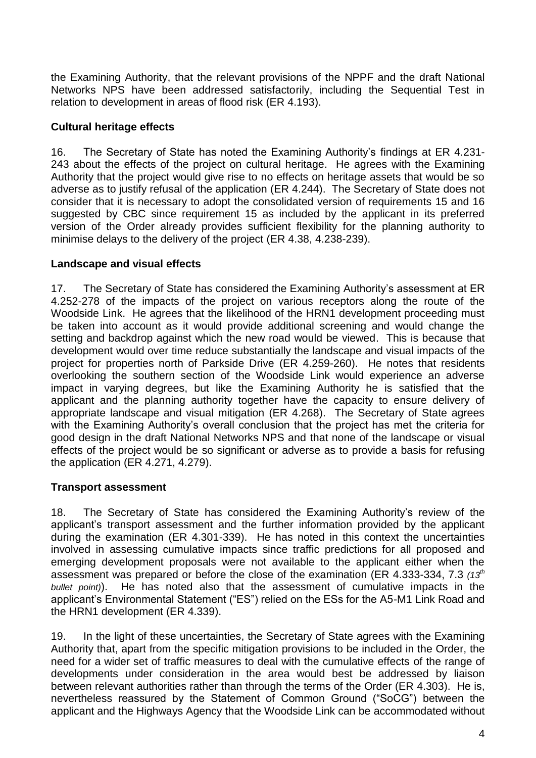the Examining Authority, that the relevant provisions of the NPPF and the draft National Networks NPS have been addressed satisfactorily, including the Sequential Test in relation to development in areas of flood risk (ER 4.193).

# **Cultural heritage effects**

16. The Secretary of State has noted the Examining Authority's findings at ER 4.231- 243 about the effects of the project on cultural heritage. He agrees with the Examining Authority that the project would give rise to no effects on heritage assets that would be so adverse as to justify refusal of the application (ER 4.244). The Secretary of State does not consider that it is necessary to adopt the consolidated version of requirements 15 and 16 suggested by CBC since requirement 15 as included by the applicant in its preferred version of the Order already provides sufficient flexibility for the planning authority to minimise delays to the delivery of the project (ER 4.38, 4.238-239).

# **Landscape and visual effects**

17. The Secretary of State has considered the Examining Authority's assessment at ER 4.252-278 of the impacts of the project on various receptors along the route of the Woodside Link. He agrees that the likelihood of the HRN1 development proceeding must be taken into account as it would provide additional screening and would change the setting and backdrop against which the new road would be viewed. This is because that development would over time reduce substantially the landscape and visual impacts of the project for properties north of Parkside Drive (ER 4.259-260). He notes that residents overlooking the southern section of the Woodside Link would experience an adverse impact in varying degrees, but like the Examining Authority he is satisfied that the applicant and the planning authority together have the capacity to ensure delivery of appropriate landscape and visual mitigation (ER 4.268). The Secretary of State agrees with the Examining Authority's overall conclusion that the project has met the criteria for good design in the draft National Networks NPS and that none of the landscape or visual effects of the project would be so significant or adverse as to provide a basis for refusing the application (ER 4.271, 4.279).

## **Transport assessment**

18. The Secretary of State has considered the Examining Authority's review of the applicant's transport assessment and the further information provided by the applicant during the examination (ER 4.301-339). He has noted in this context the uncertainties involved in assessing cumulative impacts since traffic predictions for all proposed and emerging development proposals were not available to the applicant either when the assessment was prepared or before the close of the examination (ER 4.333-334, 7.3 (13<sup>th</sup> *bullet point)*). He has noted also that the assessment of cumulative impacts in the applicant's Environmental Statement ("ES") relied on the ESs for the A5-M1 Link Road and the HRN1 development (ER 4.339).

19. In the light of these uncertainties, the Secretary of State agrees with the Examining Authority that, apart from the specific mitigation provisions to be included in the Order, the need for a wider set of traffic measures to deal with the cumulative effects of the range of developments under consideration in the area would best be addressed by liaison between relevant authorities rather than through the terms of the Order (ER 4.303). He is, nevertheless reassured by the Statement of Common Ground ("SoCG") between the applicant and the Highways Agency that the Woodside Link can be accommodated without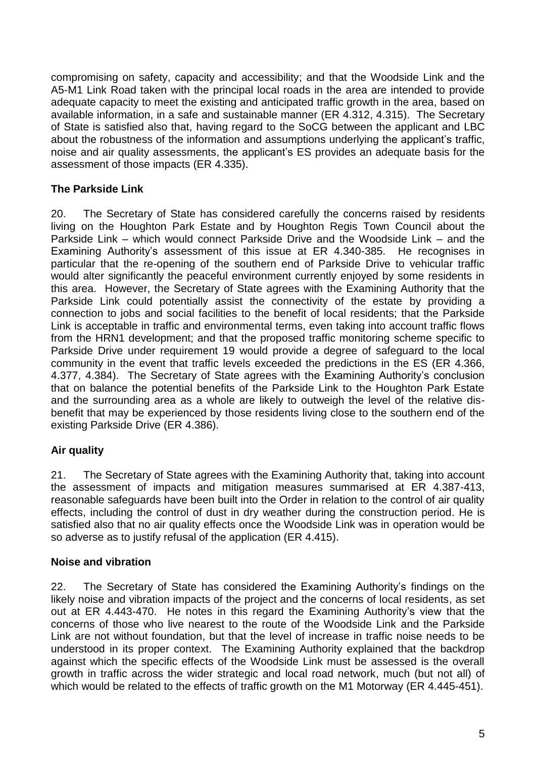compromising on safety, capacity and accessibility; and that the Woodside Link and the A5-M1 Link Road taken with the principal local roads in the area are intended to provide adequate capacity to meet the existing and anticipated traffic growth in the area, based on available information, in a safe and sustainable manner (ER 4.312, 4.315). The Secretary of State is satisfied also that, having regard to the SoCG between the applicant and LBC about the robustness of the information and assumptions underlying the applicant's traffic, noise and air quality assessments, the applicant's ES provides an adequate basis for the assessment of those impacts (ER 4.335).

## **The Parkside Link**

20. The Secretary of State has considered carefully the concerns raised by residents living on the Houghton Park Estate and by Houghton Regis Town Council about the Parkside Link – which would connect Parkside Drive and the Woodside Link – and the Examining Authority's assessment of this issue at ER 4.340-385. He recognises in particular that the re-opening of the southern end of Parkside Drive to vehicular traffic would alter significantly the peaceful environment currently enjoyed by some residents in this area. However, the Secretary of State agrees with the Examining Authority that the Parkside Link could potentially assist the connectivity of the estate by providing a connection to jobs and social facilities to the benefit of local residents; that the Parkside Link is acceptable in traffic and environmental terms, even taking into account traffic flows from the HRN1 development; and that the proposed traffic monitoring scheme specific to Parkside Drive under requirement 19 would provide a degree of safeguard to the local community in the event that traffic levels exceeded the predictions in the ES (ER 4.366, 4.377, 4.384). The Secretary of State agrees with the Examining Authority's conclusion that on balance the potential benefits of the Parkside Link to the Houghton Park Estate and the surrounding area as a whole are likely to outweigh the level of the relative disbenefit that may be experienced by those residents living close to the southern end of the existing Parkside Drive (ER 4.386).

## **Air quality**

21. The Secretary of State agrees with the Examining Authority that, taking into account the assessment of impacts and mitigation measures summarised at ER 4.387-413, reasonable safeguards have been built into the Order in relation to the control of air quality effects, including the control of dust in dry weather during the construction period. He is satisfied also that no air quality effects once the Woodside Link was in operation would be so adverse as to justify refusal of the application (ER 4.415).

## **Noise and vibration**

22. The Secretary of State has considered the Examining Authority's findings on the likely noise and vibration impacts of the project and the concerns of local residents, as set out at ER 4.443-470. He notes in this regard the Examining Authority's view that the concerns of those who live nearest to the route of the Woodside Link and the Parkside Link are not without foundation, but that the level of increase in traffic noise needs to be understood in its proper context. The Examining Authority explained that the backdrop against which the specific effects of the Woodside Link must be assessed is the overall growth in traffic across the wider strategic and local road network, much (but not all) of which would be related to the effects of traffic growth on the M1 Motorway (ER 4.445-451).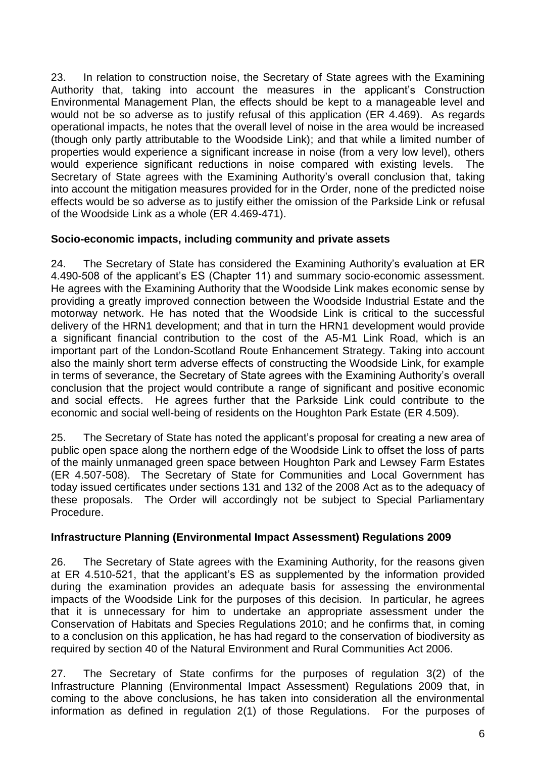23. In relation to construction noise, the Secretary of State agrees with the Examining Authority that, taking into account the measures in the applicant's Construction Environmental Management Plan, the effects should be kept to a manageable level and would not be so adverse as to justify refusal of this application (ER 4.469). As regards operational impacts, he notes that the overall level of noise in the area would be increased (though only partly attributable to the Woodside Link); and that while a limited number of properties would experience a significant increase in noise (from a very low level), others would experience significant reductions in noise compared with existing levels. The Secretary of State agrees with the Examining Authority's overall conclusion that, taking into account the mitigation measures provided for in the Order, none of the predicted noise effects would be so adverse as to justify either the omission of the Parkside Link or refusal of the Woodside Link as a whole (ER 4.469-471).

## **Socio-economic impacts, including community and private assets**

24. The Secretary of State has considered the Examining Authority's evaluation at ER 4.490-508 of the applicant's ES (Chapter 11) and summary socio-economic assessment. He agrees with the Examining Authority that the Woodside Link makes economic sense by providing a greatly improved connection between the Woodside Industrial Estate and the motorway network. He has noted that the Woodside Link is critical to the successful delivery of the HRN1 development; and that in turn the HRN1 development would provide a significant financial contribution to the cost of the A5-M1 Link Road, which is an important part of the London-Scotland Route Enhancement Strategy. Taking into account also the mainly short term adverse effects of constructing the Woodside Link, for example in terms of severance, the Secretary of State agrees with the Examining Authority's overall conclusion that the project would contribute a range of significant and positive economic and social effects. He agrees further that the Parkside Link could contribute to the economic and social well-being of residents on the Houghton Park Estate (ER 4.509).

25. The Secretary of State has noted the applicant's proposal for creating a new area of public open space along the northern edge of the Woodside Link to offset the loss of parts of the mainly unmanaged green space between Houghton Park and Lewsey Farm Estates (ER 4.507-508). The Secretary of State for Communities and Local Government has today issued certificates under sections 131 and 132 of the 2008 Act as to the adequacy of these proposals. The Order will accordingly not be subject to Special Parliamentary Procedure.

## **Infrastructure Planning (Environmental Impact Assessment) Regulations 2009**

26. The Secretary of State agrees with the Examining Authority, for the reasons given at ER 4.510-521, that the applicant's ES as supplemented by the information provided during the examination provides an adequate basis for assessing the environmental impacts of the Woodside Link for the purposes of this decision. In particular, he agrees that it is unnecessary for him to undertake an appropriate assessment under the Conservation of Habitats and Species Regulations 2010; and he confirms that, in coming to a conclusion on this application, he has had regard to the conservation of biodiversity as required by section 40 of the Natural Environment and Rural Communities Act 2006.

27. The Secretary of State confirms for the purposes of regulation 3(2) of the Infrastructure Planning (Environmental Impact Assessment) Regulations 2009 that, in coming to the above conclusions, he has taken into consideration all the environmental information as defined in regulation 2(1) of those Regulations. For the purposes of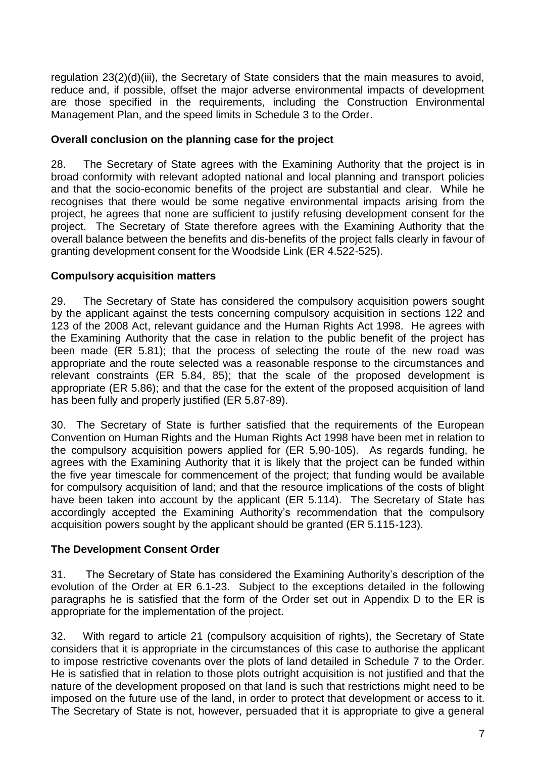regulation 23(2)(d)(iii), the Secretary of State considers that the main measures to avoid, reduce and, if possible, offset the major adverse environmental impacts of development are those specified in the requirements, including the Construction Environmental Management Plan, and the speed limits in Schedule 3 to the Order.

#### **Overall conclusion on the planning case for the project**

28. The Secretary of State agrees with the Examining Authority that the project is in broad conformity with relevant adopted national and local planning and transport policies and that the socio-economic benefits of the project are substantial and clear. While he recognises that there would be some negative environmental impacts arising from the project, he agrees that none are sufficient to justify refusing development consent for the project. The Secretary of State therefore agrees with the Examining Authority that the overall balance between the benefits and dis-benefits of the project falls clearly in favour of granting development consent for the Woodside Link (ER 4.522-525).

#### **Compulsory acquisition matters**

29. The Secretary of State has considered the compulsory acquisition powers sought by the applicant against the tests concerning compulsory acquisition in sections 122 and 123 of the 2008 Act, relevant guidance and the Human Rights Act 1998. He agrees with the Examining Authority that the case in relation to the public benefit of the project has been made (ER 5.81); that the process of selecting the route of the new road was appropriate and the route selected was a reasonable response to the circumstances and relevant constraints (ER 5.84, 85); that the scale of the proposed development is appropriate (ER 5.86); and that the case for the extent of the proposed acquisition of land has been fully and properly justified (ER 5.87-89).

30. The Secretary of State is further satisfied that the requirements of the European Convention on Human Rights and the Human Rights Act 1998 have been met in relation to the compulsory acquisition powers applied for (ER 5.90-105). As regards funding, he agrees with the Examining Authority that it is likely that the project can be funded within the five year timescale for commencement of the project; that funding would be available for compulsory acquisition of land; and that the resource implications of the costs of blight have been taken into account by the applicant (ER 5.114). The Secretary of State has accordingly accepted the Examining Authority's recommendation that the compulsory acquisition powers sought by the applicant should be granted (ER 5.115-123).

## **The Development Consent Order**

31. The Secretary of State has considered the Examining Authority's description of the evolution of the Order at ER 6.1-23. Subject to the exceptions detailed in the following paragraphs he is satisfied that the form of the Order set out in Appendix D to the ER is appropriate for the implementation of the project.

32. With regard to article 21 (compulsory acquisition of rights), the Secretary of State considers that it is appropriate in the circumstances of this case to authorise the applicant to impose restrictive covenants over the plots of land detailed in Schedule 7 to the Order. He is satisfied that in relation to those plots outright acquisition is not justified and that the nature of the development proposed on that land is such that restrictions might need to be imposed on the future use of the land, in order to protect that development or access to it. The Secretary of State is not, however, persuaded that it is appropriate to give a general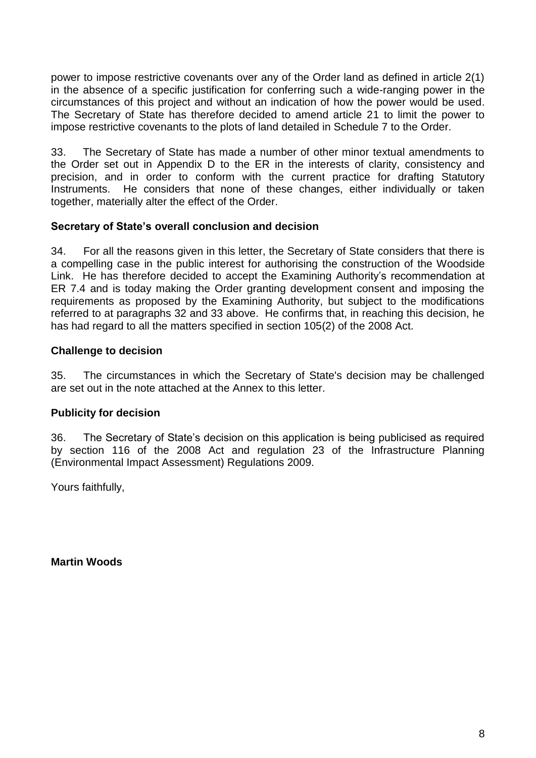power to impose restrictive covenants over any of the Order land as defined in article 2(1) in the absence of a specific justification for conferring such a wide-ranging power in the circumstances of this project and without an indication of how the power would be used. The Secretary of State has therefore decided to amend article 21 to limit the power to impose restrictive covenants to the plots of land detailed in Schedule 7 to the Order.

33. The Secretary of State has made a number of other minor textual amendments to the Order set out in Appendix D to the ER in the interests of clarity, consistency and precision, and in order to conform with the current practice for drafting Statutory Instruments. He considers that none of these changes, either individually or taken together, materially alter the effect of the Order.

#### **Secretary of State's overall conclusion and decision**

34. For all the reasons given in this letter, the Secretary of State considers that there is a compelling case in the public interest for authorising the construction of the Woodside Link. He has therefore decided to accept the Examining Authority's recommendation at ER 7.4 and is today making the Order granting development consent and imposing the requirements as proposed by the Examining Authority, but subject to the modifications referred to at paragraphs 32 and 33 above. He confirms that, in reaching this decision, he has had regard to all the matters specified in section 105(2) of the 2008 Act.

#### **Challenge to decision**

35. The circumstances in which the Secretary of State's decision may be challenged are set out in the note attached at the Annex to this letter.

## **Publicity for decision**

36. The Secretary of State's decision on this application is being publicised as required by section 116 of the 2008 Act and regulation 23 of the Infrastructure Planning (Environmental Impact Assessment) Regulations 2009.

Yours faithfully,

**Martin Woods**